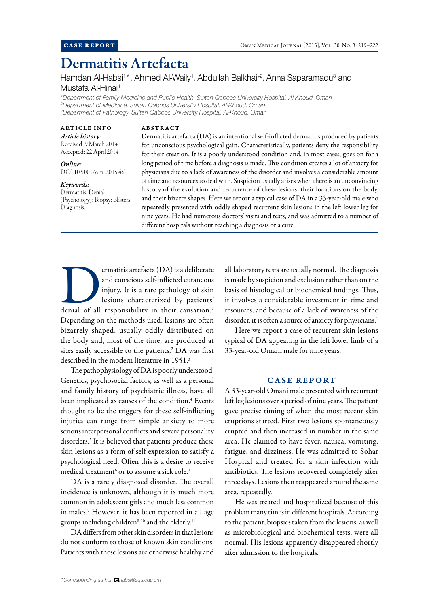# Dermatitis Artefacta

Hamdan Al-Habsi<sup>1\*</sup>, Ahmed Al-Waily<sup>1</sup>, Abdullah Balkhair<sup>2</sup>, Anna Saparamadu<sup>3</sup> and Mustafa Al-Hinai<sup>1</sup>

*1 Department of Family Medicine and Public Health, Sultan Qaboos University Hospital, Al-Khoud, Oman 2 Department of Medicine, Sultan Qaboos University Hospital, Al-Khoud, Oman 3 Department of Pathology, Sultan Qaboos University Hospital, Al-Khoud, Oman*

ARTICLE INFO *Article history:*  Received: 9 March 2014 Accepted: 22 April 2014

*Online:* DOI 10.5001/omj.2015.46

*Keywords:*  Dermatitis; Denial (Psychology); Biopsy; Blisters; Diagnosis.

ABSTRACT

Dermatitis artefacta (DA) is an intentional self-inflicted dermatitis produced by patients for unconscious psychological gain. Characteristically, patients deny the responsibility for their creation. It is a poorly understood condition and, in most cases, goes on for a long period of time before a diagnosis is made. This condition creates a lot of anxiety for physicians due to a lack of awareness of the disorder and involves a considerable amount of time and resources to deal with. Suspicion usually arises when there is an unconvincing history of the evolution and recurrence of these lesions, their locations on the body, and their bizarre shapes. Here we report a typical case of DA in a 33-year-old male who repeatedly presented with oddly shaped recurrent skin lesions in the left lower leg for nine years. He had numerous doctors' visits and tests, and was admitted to a number of different hospitals without reaching a diagnosis or a cure.

ermatitis artefacta (DA) is a deliberate and conscious self-inflicted cutaneous injury. It is a rare pathology of skin lesions characterized by patients' denial of all responsibility in their causation.<sup>1</sup> and conscious self-inflicted cutaneous injury. It is a rare pathology of skin lesions characterized by patients' Depending on the methods used, lesions are often bizarrely shaped, usually oddly distributed on the body and, most of the time, are produced at sites easily accessible to the patients.<sup>2</sup> DA was first described in the modern literature in 1951.<sup>3</sup>

The pathophysiology of DA is poorly understood. Genetics, psychosocial factors, as well as a personal and family history of psychiatric illness, have all been implicated as causes of the condition.<sup>4</sup> Events thought to be the triggers for these self-inflicting injuries can range from simple anxiety to more serious interpersonal conflicts and severe personality disorders.<sup>5</sup> It is believed that patients produce these skin lesions as a form of self-expression to satisfy a psychological need. Often this is a desire to receive medical treatment<sup>6</sup> or to assume a sick role.<sup>3</sup>

DA is a rarely diagnosed disorder. The overall incidence is unknown, although it is much more common in adolescent girls and much less common in males.<sup>7</sup> However, it has been reported in all age groups including children<sup>8-10</sup> and the elderly.<sup>11</sup>

DA differs from other skin disorders in that lesions do not conform to those of known skin conditions. Patients with these lesions are otherwise healthy and all laboratory tests are usually normal. The diagnosis is made by suspicion and exclusion rather than on the basis of histological or biochemical findings. Thus, it involves a considerable investment in time and resources, and because of a lack of awareness of the disorder, it is often a source of anxiety for physicians.<sup>1</sup>

Here we report a case of recurrent skin lesions typical of DA appearing in the left lower limb of a 33-year-old Omani male for nine years.

# CASE REPORT

A 33-year-old Omani male presented with recurrent left leg lesions over a period of nine years. The patient gave precise timing of when the most recent skin eruptions started. First two lesions spontaneously erupted and then increased in number in the same area. He claimed to have fever, nausea, vomiting, fatigue, and dizziness. He was admitted to Sohar Hospital and treated for a skin infection with antibiotics. The lesions recovered completely after three days. Lesions then reappeared around the same area, repeatedly.

He was treated and hospitalized because of this problem many times in different hospitals. According to the patient, biopsies taken from the lesions, as well as microbiological and biochemical tests, were all normal. His lesions apparently disappeared shortly after admission to the hospitals.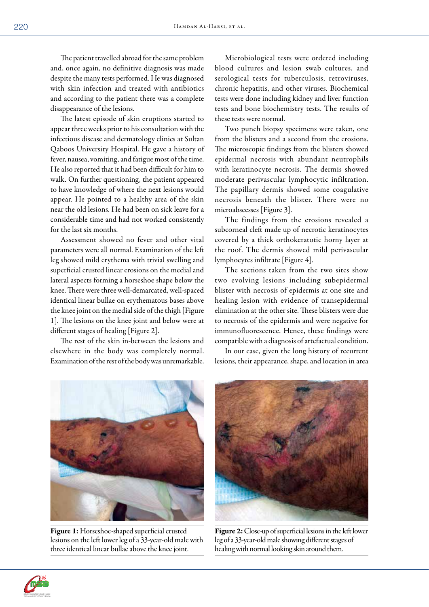The patient travelled abroad for the same problem and, once again, no definitive diagnosis was made despite the many tests performed. He was diagnosed with skin infection and treated with antibiotics and according to the patient there was a complete disappearance of the lesions.

The latest episode of skin eruptions started to appear three weeks prior to his consultation with the infectious disease and dermatology clinics at Sultan Qaboos University Hospital. He gave a history of fever, nausea, vomiting, and fatigue most of the time. He also reported that it had been difficult for him to walk. On further questioning, the patient appeared to have knowledge of where the next lesions would appear. He pointed to a healthy area of the skin near the old lesions. He had been on sick leave for a considerable time and had not worked consistently for the last six months.

Assessment showed no fever and other vital parameters were all normal. Examination of the left leg showed mild erythema with trivial swelling and superficial crusted linear erosions on the medial and lateral aspects forming a horseshoe shape below the knee. There were three well-demarcated, well-spaced identical linear bullae on erythematous bases above the knee joint on the medial side of the thigh [Figure 1]. The lesions on the knee joint and below were at different stages of healing [Figure 2].

The rest of the skin in-between the lesions and elsewhere in the body was completely normal. Examination of the rest of the body was unremarkable.

Microbiological tests were ordered including blood cultures and lesion swab cultures, and serological tests for tuberculosis, retroviruses, chronic hepatitis, and other viruses. Biochemical tests were done including kidney and liver function tests and bone biochemistry tests. The results of these tests were normal.

Two punch biopsy specimens were taken, one from the blisters and a second from the erosions. The microscopic findings from the blisters showed epidermal necrosis with abundant neutrophils with keratinocyte necrosis. The dermis showed moderate perivascular lymphocytic infiltration. The papillary dermis showed some coagulative necrosis beneath the blister. There were no microabscesses [Figure 3].

The findings from the erosions revealed a subcorneal cleft made up of necrotic keratinocytes covered by a thick orthokeratotic horny layer at the roof. The dermis showed mild perivascular lymphocytes infiltrate [Figure 4].

The sections taken from the two sites show two evolving lesions including subepidermal blister with necrosis of epidermis at one site and healing lesion with evidence of transepidermal elimination at the other site. These blisters were due to necrosis of the epidermis and were negative for immunofluorescence. Hence, these findings were compatible with a diagnosis of artefactual condition.

In our case, given the long history of recurrent lesions, their appearance, shape, and location in area



Figure 1: Horseshoe-shaped superficial crusted lesions on the left lower leg of a 33-year-old male with three identical linear bullae above the knee joint.



Figure 2: Close-up of superficial lesions in the left lower leg of a 33-year-old male showing different stages of healing with normal looking skin around them.

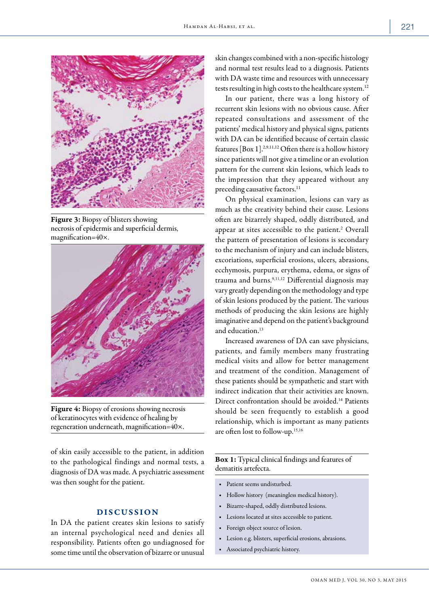

Figure 3: Biopsy of blisters showing necrosis of epidermis and superficial dermis, magnification=40×.



Figure 4: Biopsy of erosions showing necrosis of keratinocytes with evidence of healing by regeneration underneath, magnification=40×.

of skin easily accessible to the patient, in addition to the pathological findings and normal tests, a diagnosis of DA was made. A psychiatric assessment was then sought for the patient.

## DISCUSSION

In DA the patient creates skin lesions to satisfy an internal psychological need and denies all responsibility. Patients often go undiagnosed for some time until the observation of bizarre or unusual

skin changes combined with a non-specific histology and normal test results lead to a diagnosis. Patients with DA waste time and resources with unnecessary tests resulting in high costs to the healthcare system.<sup>12</sup>

In our patient, there was a long history of recurrent skin lesions with no obvious cause. After repeated consultations and assessment of the patients' medical history and physical signs, patients with DA can be identified because of certain classic features [Box 1].2,9,11,12 Often there is a hollow history since patients will not give a timeline or an evolution pattern for the current skin lesions, which leads to the impression that they appeared without any preceding causative factors.<sup>11</sup>

On physical examination, lesions can vary as much as the creativity behind their cause. Lesions often are bizarrely shaped, oddly distributed, and appear at sites accessible to the patient.<sup>2</sup> Overall the pattern of presentation of lesions is secondary to the mechanism of injury and can include blisters, excoriations, superficial erosions, ulcers, abrasions, ecchymosis, purpura, erythema, edema, or signs of trauma and burns.9,11,12 Differential diagnosis may vary greatly depending on the methodology and type of skin lesions produced by the patient. The various methods of producing the skin lesions are highly imaginative and depend on the patient's background and education.<sup>13</sup>

Increased awareness of DA can save physicians, patients, and family members many frustrating medical visits and allow for better management and treatment of the condition. Management of these patients should be sympathetic and start with indirect indication that their activities are known. Direct confrontation should be avoided.14 Patients should be seen frequently to establish a good relationship, which is important as many patients are often lost to follow-up.15,16

## Box 1: Typical clinical findings and features of dematitis artefecta.

- Patient seems undisturbed.
- Hollow history (meaningless medical history).
- Bizarre-shaped, oddly distributed lesions.
- Lesions located at sites accessible to patient.
- Foreign object source of lesion.
- Lesion e.g. blisters, superficial erosions, abrasions.
- Associated psychiatric history.